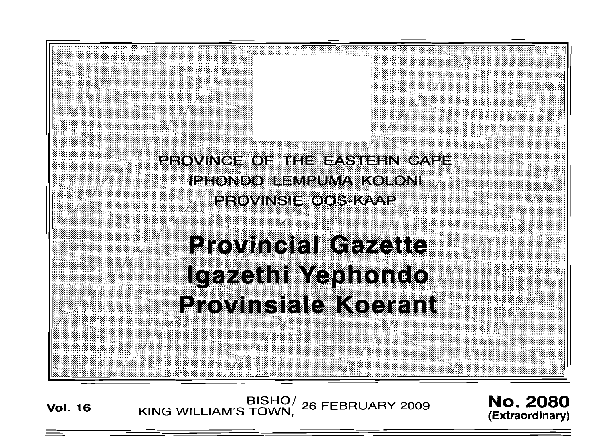

# **Provincial Gazette** Igazethi Yephondo **Provinsiale Koerant**

Vol. 16 **BISHO** BISHO BISHO BISHOT 26 FEBRUARY 2009 **NO. 2080** 

**(Extraordinary)**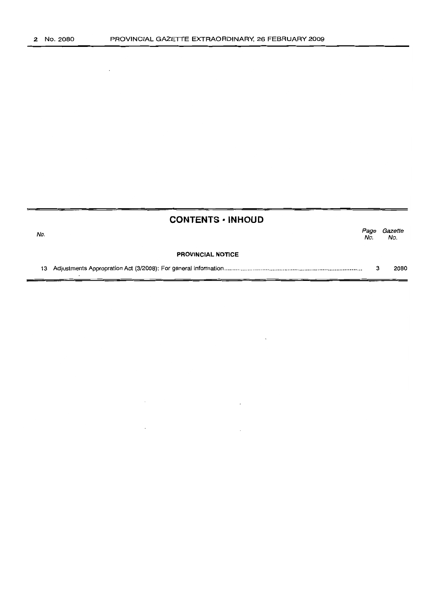$\sim$ 

|     | <b>CONTENTS • INHOUD</b> |             |                |
|-----|--------------------------|-------------|----------------|
| No. |                          | Page<br>No. | Gazette<br>No. |
|     | <b>PROVINCIAL NOTICE</b> |             |                |
|     |                          | з           | 2080           |

 $\mathcal{L}(\mathcal{L}^{\mathcal{L}})$  and  $\mathcal{L}^{\mathcal{L}}$  and  $\mathcal{L}^{\mathcal{L}}$  and  $\mathcal{L}^{\mathcal{L}}$ 

 $\label{eq:2.1} \mathcal{L}(\mathcal{L}^{\mathcal{L}}_{\mathcal{L}}(\mathcal{L}^{\mathcal{L}}_{\mathcal{L}})) \leq \mathcal{L}(\mathcal{L}^{\mathcal{L}}_{\mathcal{L}}(\mathcal{L}^{\mathcal{L}}_{\mathcal{L}}))$ 

 $\sim$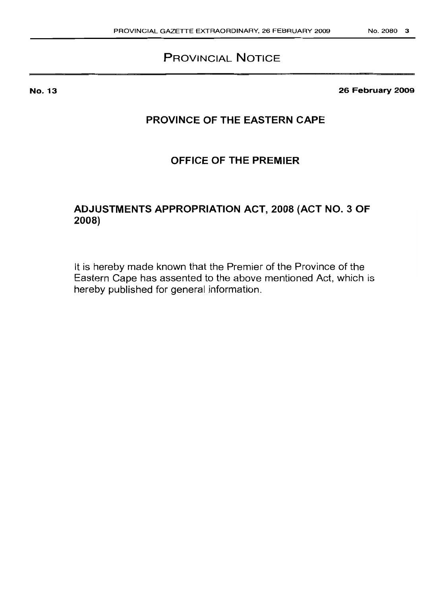## **PROVINCIAL NOTICE**

No. 13

**26 February 2009**

## **PROVINCE OF THE EASTERN CAPE**

## **OFFICE OF THE PREMIER**

## **ADJUSTMENTS APPROPRIATION ACT, 2008 (ACT NO.3 OF 2008)**

It is hereby made known that the Premier of the Province of the Eastern Cape has assented to the above mentioned Act, which is hereby published for general information.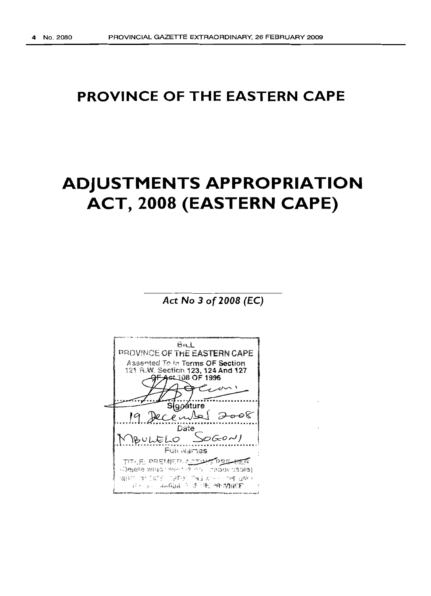## **PROVINCE OF THE EASTERN CAPE**

# **ADJUSTMENTS APPROPRIATION ACT, 2008 (EASTERN CAPE)**

*Act* **No 3 of** *2008* **(Ee)**

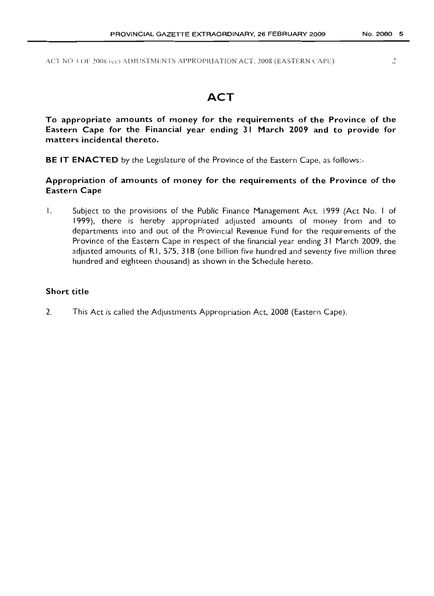$\,$ 

ACT NO 3 OF 2008 (ec) ADJUSTMEN IS APPROPRIATION ACT, 2008 (EASTERN CAPE)

## **ACT**

**To appropriate amounts of money for the requirements of the Province of the Eastern Cape for the Financial year ending 31 March 2009 and to provide for matters incidental thereto.**

**BE IT ENACTED** by the Legislature of the Province of the Eastern Cape, as follows:-

**Appropriation of amounts of money for the requirements of the Province of the Eastern Cape**

1. Subject to the provisions of the Public Finance Management Act, 1999 (Act No. 1 of 1999), there is hereby appropriated adjusted amounts of money from and to departments into and out of the Provincial Revenue Fund for the requirements of the Province of the Eastern Cape in respect of the financial year ending 31 March 2009, the adjusted amounts of RI, 575, 318 (one billion five hundred and seventy five million three hundred and eighteen thousand) as shown in the Schedule hereto.

#### **Short title**

2. This Act is called the Adjustments Appropriation Act, 2008 (Eastern Cape).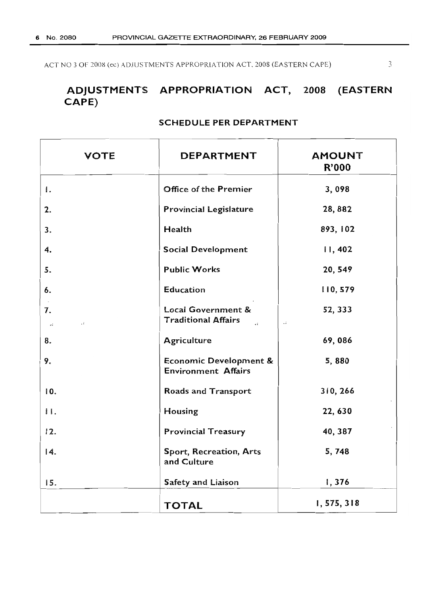ACT NO 3 OF 2008 (ec) ADJUSTMENTS APPROPRIATION ACT, 2008 (EASTERN CAPE)

 $\overline{3}$ 

## ADJUSTMENTS APPROPRIATION ACT, 2008 (EASTERN CAPE)

| <b>VOTE</b> | DEPARTMENT                                                                                    | <b>AMOUNT</b><br><b>R'000</b> |
|-------------|-----------------------------------------------------------------------------------------------|-------------------------------|
| ۱.          | Office of the Premier                                                                         | 3,098                         |
| 2.          | <b>Provincial Legislature</b>                                                                 | 28,882                        |
|             | Health                                                                                        | 893, 102                      |
|             | <b>Social Development</b>                                                                     | 11,402                        |
|             | <b>Public Works</b>                                                                           | 20, 549                       |
|             | Education                                                                                     | 110, 579                      |
| . .         | Local Government &<br><b>Traditional Affairs</b><br>$\ddot{\phantom{a}}$<br>$\sim$ $\epsilon$ | 52, 333                       |
|             | <b>Agriculture</b>                                                                            | 69,086                        |
|             | <b>Economic Development &amp;</b><br><b>Environment Affairs</b>                               | 5,880                         |
|             | Roads and Transport                                                                           | 310, 266                      |
|             | Housing                                                                                       | 22, 630                       |
| 12.         | <b>Provincial Treasury</b>                                                                    | 40, 387                       |
|             | Sport, Recreation, Arts<br>and Culture                                                        | 5,748                         |
| 15.         | Safety and Liaison                                                                            | 1,376                         |
|             | <b>TOTAL</b>                                                                                  | 1,575,318                     |

#### SCHEDULE PER DEPARTMENT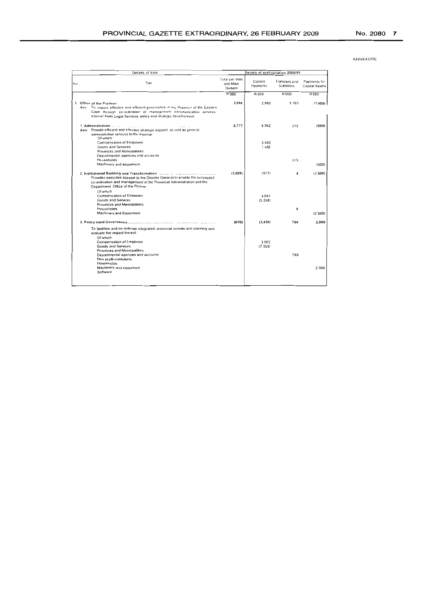|    | Details of Vote                                                                                                                                                                                                                                                           | Details of appropriation 2008/09              |                        |                                   |                                |
|----|---------------------------------------------------------------------------------------------------------------------------------------------------------------------------------------------------------------------------------------------------------------------------|-----------------------------------------------|------------------------|-----------------------------------|--------------------------------|
| No | Title                                                                                                                                                                                                                                                                     | <b>Total per Vote</b><br>and Main<br>Oivision | Current<br>Payments    | Transfers and<br><b>Subsidies</b> | Payments for<br>Capital Assets |
|    |                                                                                                                                                                                                                                                                           | <b>R'000</b>                                  | R 000                  | R'000                             | R'000                          |
|    | 1 Office of the Premier<br>To ensure effective and efficient governance in the Province of the Eastern<br>Ann<br>Cape through co-ordination of management communication services<br>Internal Audit Legal Services, policy and strategic development                       | 3.098                                         | 2.995                  | 1103                              | (1,000)                        |
|    | 1. Administration<br>Aim: Provide efficient and effective strategic support as well as general<br>administrative services to the Premier<br>Of which<br>Compensation of Employee<br><b>Goods and Services</b><br>Provinces and Municipalities                             | 6,777                                         | 6,962<br>54B2<br>1,480 | 315                               | (500)                          |
|    | Departmental agencies and accounts<br>Households<br>Machinery and equipment                                                                                                                                                                                               |                                               |                        | 315                               | (500)                          |
|    | 2. Institutional Building and Transformation (1000) and the continuum control<br>Provides executive support to the Director General to enable the successful<br>co-ordination and management of the Provincial Administration and the<br>Department Office of the Premier | (3,009)                                       | (517)                  | 8                                 | (2.500)                        |
|    | Of which<br>Compensation of Employee<br>Goods and Services<br>Provinces and Municipalities                                                                                                                                                                                |                                               | 4.841<br>(5.358)       |                                   |                                |
|    | Households<br>Machinery and Equipment                                                                                                                                                                                                                                     |                                               |                        | 8                                 | (2500)                         |
|    |                                                                                                                                                                                                                                                                           | (670)                                         | (3, 450)               | 780                               | 2.000                          |
|    | To facilitate and co-ordinate integrated provincial policies and planning and<br>evaluate the impact thereof<br>Of which                                                                                                                                                  |                                               |                        |                                   |                                |
|    | Compensation of Employee<br>Goods and Services<br>Provinces and Municipalities                                                                                                                                                                                            |                                               | 3903<br>(7353)         |                                   |                                |
|    | Departmental agencies and accounts<br>Non orpfit institutions<br>Households                                                                                                                                                                                               |                                               |                        | 780                               |                                |
|    | Machinery and equipment<br>Software                                                                                                                                                                                                                                       |                                               |                        |                                   | 2000                           |
|    |                                                                                                                                                                                                                                                                           |                                               |                        |                                   |                                |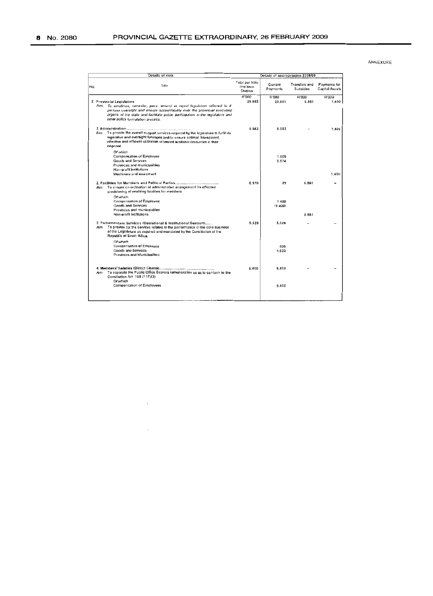|     | Details of Vote                                                                                                                                                                                                                                                  |                                               | Details of appropriation 2008/09 |                            |                                |  |
|-----|------------------------------------------------------------------------------------------------------------------------------------------------------------------------------------------------------------------------------------------------------------------|-----------------------------------------------|----------------------------------|----------------------------|--------------------------------|--|
| No. | Tille                                                                                                                                                                                                                                                            | Total per Vote<br>and Main<br><b>Davision</b> | Current<br>Payments              | Transfers and<br>Subsidies | Payments for<br>Capital Assets |  |
|     |                                                                                                                                                                                                                                                                  | <b>R'000</b>                                  | <b>R'000</b>                     | <b>R'000</b>               | <b>R'DDG</b>                   |  |
|     | 2 Provincial Legislature<br>Aim; To scrutinize, consider, pass, amend or reject legislation referred to it                                                                                                                                                       | <b>28.882</b>                                 | 20.601                           | 6.881                      | 1,400                          |  |
|     | perform oversight and ensure accountability over the provincial executing<br>organs of the state and facilitate public participation in the legislature and<br>other policy formulation process.                                                                 |                                               |                                  |                            |                                |  |
|     |                                                                                                                                                                                                                                                                  | 9.983                                         | 6.583                            |                            | 1.400                          |  |
|     | To provide the overall support services required by the legislature to fulfill its<br>Aim<br>legislative and oversight functions and to ensure optimal, transparent,<br>effective and efficient utilization of limited available resources at their<br>disposal. |                                               |                                  |                            |                                |  |
|     | Of which<br>Compensation of Employee                                                                                                                                                                                                                             |                                               | 1.909                            |                            |                                |  |
|     | <b>Goods and Services</b>                                                                                                                                                                                                                                        |                                               | 6.674                            |                            |                                |  |
|     | Provinces and municipalities.<br>Non-profit institutions                                                                                                                                                                                                         |                                               |                                  |                            |                                |  |
|     | Machinery and equipment                                                                                                                                                                                                                                          |                                               |                                  |                            | 1.400                          |  |
|     | 2. Facilities for Members and Political Parties<br>To ensure co-ordination of administrative arrangement for effective<br>Aim<br>provisioning of enabling facilities for members                                                                                 | 6.970                                         | a <sub>9</sub>                   | 6.881                      |                                |  |
|     | Of which<br>Compensation of Employee                                                                                                                                                                                                                             |                                               | 1.489                            |                            |                                |  |
|     | <b>Goods and Services</b>                                                                                                                                                                                                                                        |                                               | (1.400)                          |                            |                                |  |
|     | Provinces and municipalities.<br>Non-profit Institutions                                                                                                                                                                                                         |                                               |                                  |                            |                                |  |
|     |                                                                                                                                                                                                                                                                  |                                               |                                  | 6.881                      |                                |  |
|     | 3. Parliamentary Services (Operational & Institutional Support)<br>To provide for the services related to the performance of the core business<br>Aim<br>of the Legislature as required and mandated by the Constitution of the<br>Republic of South Africa.     | 5.529                                         | 5.529                            |                            |                                |  |
|     | Of which<br>Compensation of Employee                                                                                                                                                                                                                             |                                               |                                  |                            |                                |  |
|     | Goods and Services<br>Provinces and Municipalities                                                                                                                                                                                                               |                                               | 896<br>4.633                     |                            |                                |  |
|     | To separate the Public Office Bearers remuneration so as to conform to the<br>Am<br>Constitution Act 108 (117)(3)<br>Of which                                                                                                                                    | 6.400                                         | 6.400                            |                            |                                |  |
|     | Compensation of Employees                                                                                                                                                                                                                                        |                                               | 6.400                            |                            |                                |  |
|     |                                                                                                                                                                                                                                                                  |                                               |                                  |                            |                                |  |

 $\ddot{\phantom{0}}$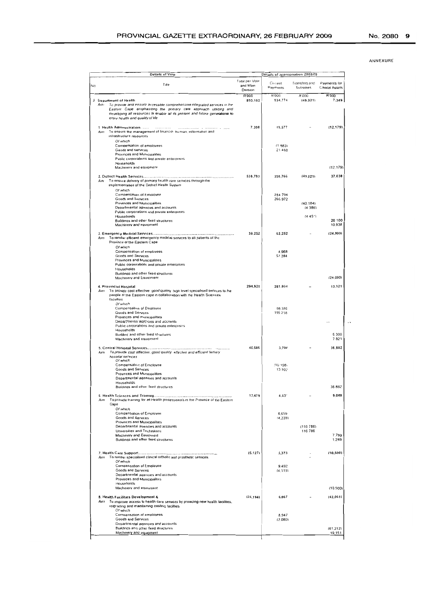| <b>Details of Vote</b>                                                                                                                                                                                                                                                                          | Details of appropriation 2008/09              |                     |                                   |                                |
|-------------------------------------------------------------------------------------------------------------------------------------------------------------------------------------------------------------------------------------------------------------------------------------------------|-----------------------------------------------|---------------------|-----------------------------------|--------------------------------|
| Title<br>No                                                                                                                                                                                                                                                                                     | <b>Total per Vote</b><br>and Main<br>Division | Current<br>Payments | Transfers and<br><b>Subsidies</b> | Payments for<br>Capital Assets |
|                                                                                                                                                                                                                                                                                                 | R'000                                         | <b>R'000</b>        | R:000                             | R'000                          |
| 3 Department of Health<br>Aim To provide and ensure accessible comprehensive integrated services in the<br>Eastern Cape emphasizing the primary care approach utilizing and<br>developing all resources to enable all its present and future generations to<br>enjoy health and quality of life | 893.102                                       | 934,774             | (49.021)                          | 7.349                          |
| 1 Health Administration.<br><br>Aim To ensure the management of financial human, information and<br>infrastructure resources                                                                                                                                                                    | 7.398                                         | 19,577              |                                   | (12, 179)                      |
| Of which                                                                                                                                                                                                                                                                                        |                                               |                     |                                   |                                |
| Compensation of employees                                                                                                                                                                                                                                                                       |                                               | (1B83)<br>21 4 5 0  |                                   |                                |
| Goods and services<br>Provinces and Municipalities                                                                                                                                                                                                                                              |                                               |                     |                                   |                                |
| Public corporations and private enterprises                                                                                                                                                                                                                                                     |                                               |                     |                                   |                                |
| Households<br>Machinery and equipment                                                                                                                                                                                                                                                           |                                               |                     |                                   | (12.179)                       |
|                                                                                                                                                                                                                                                                                                 |                                               |                     |                                   |                                |
| To ensure delivery of primary health care services through the<br>Aint<br>implementation of the District Health System<br>Of which                                                                                                                                                              | 538,783                                       | 550,766             | 149.021                           | 37,038                         |
| Compensation of Employee                                                                                                                                                                                                                                                                        |                                               | 284 794             |                                   |                                |
| <b>Goods and Services</b><br>Provinces and Municipalities                                                                                                                                                                                                                                       |                                               | 265 972             | (40.184)                          |                                |
| Departmental agencies and accounts                                                                                                                                                                                                                                                              |                                               |                     | (4386)                            |                                |
| Public corporations and private enterprises<br>Households                                                                                                                                                                                                                                       |                                               |                     | $(4.45*)$                         |                                |
| Buildings and other fixed structures<br>Machinery and equipment                                                                                                                                                                                                                                 |                                               |                     |                                   | 26 100<br>10,938               |
| To render efficient emergency medical services to all patients of the<br>Am<br>Province of the Eastern Cape                                                                                                                                                                                     | 38,252                                        | 62,252              |                                   | (24,000)                       |
| Of which                                                                                                                                                                                                                                                                                        |                                               |                     |                                   |                                |
| Compensation of employees<br>Goods and Services                                                                                                                                                                                                                                                 |                                               | 4,968<br>57.284     |                                   |                                |
| Provinces and Municipalities                                                                                                                                                                                                                                                                    |                                               |                     |                                   |                                |
| Public corporations and private enterprises<br>Households                                                                                                                                                                                                                                       |                                               |                     |                                   |                                |
| Buildings and other fixed structures                                                                                                                                                                                                                                                            |                                               |                     |                                   |                                |
| Machinery and Equipment                                                                                                                                                                                                                                                                         |                                               |                     |                                   | (24.000)                       |
| 4. Provincial Hospital<br>To provide cost effective good quality high level specialised services to the<br>Aim<br>people of the Eastern cape in collaboration with the Health Sciences<br>taculties                                                                                             | 294.925                                       | 281.804             |                                   | 13,121                         |
| Of which<br>Compensation of Employee                                                                                                                                                                                                                                                            |                                               | 86 586              |                                   |                                |
| Goods and Services                                                                                                                                                                                                                                                                              |                                               | 195 218             |                                   |                                |
| Provinces and inumcipalities<br>Departmental aggnoies and accounts                                                                                                                                                                                                                              |                                               |                     |                                   |                                |
| Public corporations and private enterprises                                                                                                                                                                                                                                                     |                                               |                     |                                   |                                |
| Households<br>Building and other fixed structures                                                                                                                                                                                                                                               |                                               |                     |                                   | 5 300                          |
| Machinery and equipment                                                                                                                                                                                                                                                                         |                                               |                     |                                   | 7821                           |
|                                                                                                                                                                                                                                                                                                 | 40.586                                        | 3,704               |                                   | 36.882                         |
| To provide cost effective, good quality effective and efficient tertiary<br>Aım                                                                                                                                                                                                                 |                                               |                     |                                   |                                |
| hosoital services<br>Of which                                                                                                                                                                                                                                                                   |                                               |                     |                                   |                                |
| Compensation of Employee                                                                                                                                                                                                                                                                        |                                               | (10.198)            |                                   |                                |
| Goods and Services<br>Provinces and Municipalities                                                                                                                                                                                                                                              |                                               | 13 902              |                                   |                                |
| Departmental agencies and accounts                                                                                                                                                                                                                                                              |                                               |                     |                                   |                                |
| Households<br>Buildings and other fixed structures                                                                                                                                                                                                                                              |                                               |                     |                                   | 36 882                         |
|                                                                                                                                                                                                                                                                                                 |                                               |                     |                                   |                                |
| To provide training for all Health professionals in the Province of the Eastern<br>Aim<br>Cape                                                                                                                                                                                                  | 13,479                                        | 4.43'               |                                   | 9,048                          |
| Of which<br>Compensation of Employee                                                                                                                                                                                                                                                            |                                               | 6,659               |                                   |                                |
| <b>Goods and Services</b>                                                                                                                                                                                                                                                                       |                                               | (4,228)             |                                   |                                |
| Provinces and Municipalities<br>Departmental agencies and accounts                                                                                                                                                                                                                              |                                               |                     | (116 786)                         |                                |
| Universities and Technikons                                                                                                                                                                                                                                                                     |                                               |                     | 116 786                           |                                |
| Machinery and Equipment<br>Buildings and other fixed structures                                                                                                                                                                                                                                 |                                               |                     |                                   | 7.799<br>1,249                 |
|                                                                                                                                                                                                                                                                                                 | (5.127)                                       | 5,373               |                                   | (10, 500)                      |
| To render specialised clinical orthotic and prosthetic services.<br>Aım<br>Of which                                                                                                                                                                                                             |                                               |                     |                                   |                                |
| Compensation of Employee                                                                                                                                                                                                                                                                        |                                               | 9,492               |                                   |                                |
| Goods and Services                                                                                                                                                                                                                                                                              |                                               | (4.119)             |                                   |                                |
| Departmental agencies and accounts<br>Provinces and Municipalities                                                                                                                                                                                                                              |                                               |                     |                                   |                                |
| Households                                                                                                                                                                                                                                                                                      |                                               |                     |                                   |                                |
| Machinery and equipment                                                                                                                                                                                                                                                                         |                                               |                     |                                   | (10, 500)                      |
| 8. Health Facilities Development &                                                                                                                                                                                                                                                              | (35, 194)                                     | 6,867               |                                   | (42.061)                       |
| To improve access to health care services by providing new health facilities,<br>Aun<br>upgrading and maintaining existing facilities<br>Of which                                                                                                                                               |                                               |                     |                                   |                                |
| Compensation of employees                                                                                                                                                                                                                                                                       |                                               | 8,947               |                                   |                                |
| <b>Goods and Services</b>                                                                                                                                                                                                                                                                       |                                               | (2,080)             |                                   |                                |
| Departmental agencies and accounts<br>Buildings and other fixed structures                                                                                                                                                                                                                      |                                               |                     |                                   | (61.212)                       |
|                                                                                                                                                                                                                                                                                                 |                                               |                     |                                   | 19,151                         |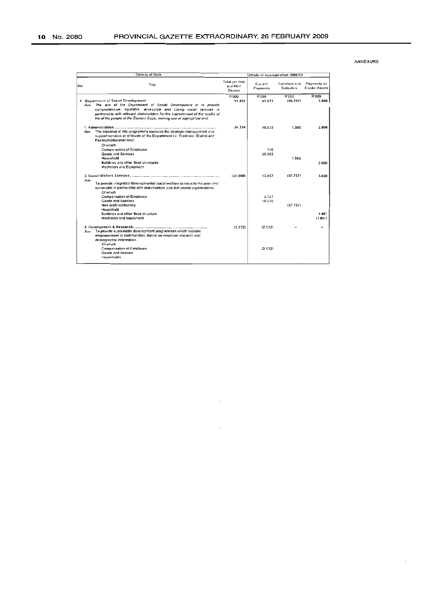| Details of Vote |                                                                                                                                                                                                                                                                                                                                      |                                        | Details of appropriation 2008/09 |                                          |                                |  |
|-----------------|--------------------------------------------------------------------------------------------------------------------------------------------------------------------------------------------------------------------------------------------------------------------------------------------------------------------------------------|----------------------------------------|----------------------------------|------------------------------------------|--------------------------------|--|
| No              | Title                                                                                                                                                                                                                                                                                                                                | Total per Vote<br>and Main<br>Division | Current<br>Payments              | <b>Transfers and</b><br><b>Subsidies</b> | Payments for<br>Capital Assets |  |
| 4               | Department of Social Development<br>The aim of the Department of Social Development is to provide<br>Aun<br>comprehensive, equitable, accessible and canno social services in<br>partnership with relevant stakeholders for the improvement of the quality of<br>Me of the people of the Eastern Cape, making use of appropriate and | <b>R'000</b><br>11.402                 | <b>R'000</b><br>42.659           | <b>R'000</b><br>(36, 257)                | R'000<br>5.000                 |  |
|                 | The objective of this programme captures the strategic management and<br>Aim<br>support services at all levels of the Department ile. Provincial, District and<br>Facility/Institutional level.<br>Of which                                                                                                                          | 34.334                                 | 30,834                           | 1,500                                    | 2.000                          |  |
|                 | Compensation of Employee<br><b>Goods and Services</b><br>Household<br>Buildings and other fixed structures<br>Machinery and Equipment                                                                                                                                                                                                |                                        | 746<br>30,088                    | 1.500                                    | 2.000                          |  |
|                 | Aim<br>To provide integrated developmental social welfare services to the poor and<br>vulnerable in partnership with stakeholders and civil society organisations.<br>Of which                                                                                                                                                       | (20.800)                               | 13.957                           | (37.757)                                 | 3,000                          |  |
|                 | Compensation of Employee<br>Goods and Services<br>Non-profit institutions<br>Household<br>Buildings and other fixed structure                                                                                                                                                                                                        |                                        | 3.727<br>10.230                  | (37.757)                                 | 4.861                          |  |
|                 | Machinery and equipment<br>To provide sustainable development programmes which facilitate<br>Aim<br>empowerment of communities, based on empirical research and<br>demographic information.                                                                                                                                          | (2.132)                                | (2.132)                          |                                          | (1.861)<br>                    |  |
|                 | Of which<br>Compensation of Employee<br><b>Goods and Sevices</b><br>Households                                                                                                                                                                                                                                                       |                                        | (2.132)                          |                                          |                                |  |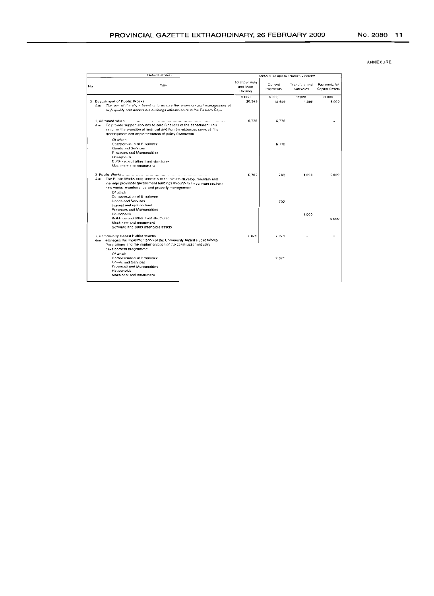|    |      | Details of Vote                                                                                                                                                                                                                                                                                                                                        | Details of appropriation 2008/09       |                     |                            |                                |
|----|------|--------------------------------------------------------------------------------------------------------------------------------------------------------------------------------------------------------------------------------------------------------------------------------------------------------------------------------------------------------|----------------------------------------|---------------------|----------------------------|--------------------------------|
| No |      | Title                                                                                                                                                                                                                                                                                                                                                  | Total per Vote<br>and Main<br>Division | Current<br>Payments | Transfers and<br>Subsidies | Payments for<br>Capital Assets |
|    |      |                                                                                                                                                                                                                                                                                                                                                        | <b>R'000</b>                           | R'000               | 8.000                      | R'000                          |
|    | Auro | 5 Department of Public Works<br>The aim of the department is to ensure the provision and management of<br>high guality and accessible buildings infrastructure in the Eastern Cape                                                                                                                                                                     | 20.549                                 | 14 549              | 1.000                      | 5,000                          |
|    | Aim  | 1 Administration<br>$\sim$<br>the contract of the contract of the contract of the contract of the contract of the contract of the contract of<br>To provide support services to core functions of the department, this<br>includes the provision of financial and human resources services, the<br>development and implementation of policy framework. | 6.776                                  | 6776                |                            |                                |
|    |      | Of which<br>Compensation of Employee<br>Goods and Services<br>Provinces and Municipalities<br>Housebolds<br>Buildings and other hxed structures.                                                                                                                                                                                                       |                                        | 6 7 7 6             |                            |                                |
|    | Am   | Machinery and equipment<br>The Public Works programme is mandaled to develop, maintain and                                                                                                                                                                                                                                                             | 6,702                                  | 702                 | 1,000                      | 5,000                          |
|    |      | manage provincial government buildings through its three main sections.<br>new works maintenance and property management<br>Of which                                                                                                                                                                                                                   |                                        |                     |                            |                                |
|    |      | Compensation of Employee<br>Goods and Services<br>interest and rent on land.                                                                                                                                                                                                                                                                           |                                        | 702                 |                            |                                |
|    |      | <b>Provinces and Municipalities</b><br>Households<br>Buildings and other fixed structures.<br>Machinery and equipment                                                                                                                                                                                                                                  |                                        |                     | 1.000                      | 5.000                          |
|    |      | Suffware and other intangible assets                                                                                                                                                                                                                                                                                                                   |                                        |                     |                            |                                |
|    | Am   | 3. Community Based Public Works<br>Manages the implementation of the Community based Public Works<br>Programme and the implementation of the construction industry.<br>development programme                                                                                                                                                           | 7.071                                  | 7071                |                            |                                |
|    |      | Of which<br>Compensation of Employee<br><b>Goods and Services</b><br>Provinces and Municipalities<br>Households                                                                                                                                                                                                                                        |                                        | 7.071               |                            |                                |
|    |      | Machinery and equipment                                                                                                                                                                                                                                                                                                                                |                                        |                     |                            |                                |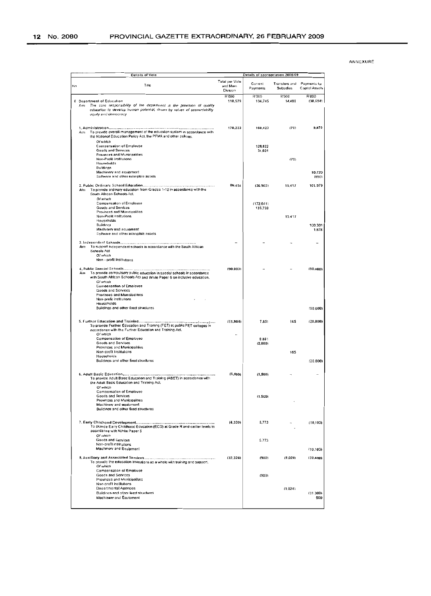| Details of Vote<br>Details of appropriation 2006/09                                                                                                                                                           |                                       |                     |                                   |                                |
|---------------------------------------------------------------------------------------------------------------------------------------------------------------------------------------------------------------|---------------------------------------|---------------------|-----------------------------------|--------------------------------|
| Tille                                                                                                                                                                                                         | Total per Vole<br>and Mam<br>Division | Current<br>Payments | Translers and<br><b>Subsidies</b> | Payments for<br>Capital Assets |
|                                                                                                                                                                                                               | R'000                                 | R'000               | R'000                             | R'000                          |
| 6 Department of Education<br>The core responsibility of the department is the provision of quality<br>mıR<br>education to develop human potential, driven by values of accountability<br>equity and democracy | 110,579                               | 134,745             | 14,488                            | ${38,554}$                     |
|                                                                                                                                                                                                               |                                       |                     |                                   |                                |
|                                                                                                                                                                                                               | 170,223                               | 160,423             | (70)                              | 9,870                          |
| To provide overall management of the education system in accordance with<br>Arm<br>the National Education Policy Act, the PFMA and other policies.                                                            |                                       |                     |                                   |                                |
| Of which                                                                                                                                                                                                      |                                       |                     |                                   |                                |
| Compensation of Employee                                                                                                                                                                                      |                                       | 128,822             |                                   |                                |
| Goods and Services                                                                                                                                                                                            |                                       | 31,601              |                                   |                                |
| Provinces and Municipalities                                                                                                                                                                                  |                                       |                     |                                   |                                |
| Non-Profit institutions<br>Households                                                                                                                                                                         |                                       |                     | (70)                              |                                |
| Buildings                                                                                                                                                                                                     |                                       |                     |                                   |                                |
| Machinery and equipment                                                                                                                                                                                       |                                       |                     |                                   | 10,720                         |
| Software and other intangible assets                                                                                                                                                                          |                                       |                     |                                   | (850)                          |
|                                                                                                                                                                                                               |                                       |                     |                                   |                                |
| To provide ordinary education from Grades 1-12 in accordance with the<br>Aim                                                                                                                                  | 80,494                                | (36, 902)           | 15,417                            | 101.979                        |
| South African Schools Act.                                                                                                                                                                                    |                                       |                     |                                   |                                |
| Of which                                                                                                                                                                                                      |                                       |                     |                                   |                                |
| Compensation of Employee                                                                                                                                                                                      |                                       | (172.641)           |                                   |                                |
| Goods and Services<br>Provinces and Municipalities                                                                                                                                                            |                                       | 135,739             |                                   |                                |
| Non-Profit Institutions                                                                                                                                                                                       |                                       |                     | 15.417                            |                                |
| Households                                                                                                                                                                                                    |                                       |                     |                                   |                                |
| Buildings                                                                                                                                                                                                     |                                       |                     |                                   | 100,301                        |
| Machinery and equipment<br>Software and other intangible assets.                                                                                                                                              |                                       |                     |                                   | 1,678                          |
|                                                                                                                                                                                                               |                                       |                     |                                   |                                |
|                                                                                                                                                                                                               |                                       |                     |                                   |                                |
| To support independent schools in accordance with the South African<br>Aım                                                                                                                                    |                                       |                     |                                   |                                |
| <b>Schools Act</b><br>Of which                                                                                                                                                                                |                                       |                     |                                   |                                |
| Non - profit institutions                                                                                                                                                                                     |                                       |                     |                                   |                                |
|                                                                                                                                                                                                               |                                       |                     |                                   |                                |
|                                                                                                                                                                                                               | (90,000)                              |                     |                                   | (90,000)                       |
| To provide compulsory public education in special schools in accordance<br>Aim<br>with South African Schools Act and White Paper 6 on inclusive education.                                                    |                                       |                     |                                   |                                |
| Of which                                                                                                                                                                                                      |                                       |                     |                                   |                                |
| Comoensation of Employee                                                                                                                                                                                      |                                       |                     |                                   |                                |
| Goods and Services                                                                                                                                                                                            |                                       |                     |                                   |                                |
| Provinces and Municipalities<br>Non-profit institutions                                                                                                                                                       |                                       |                     |                                   |                                |
| Households                                                                                                                                                                                                    |                                       |                     |                                   |                                |
| Buildings and other fixed structures                                                                                                                                                                          |                                       |                     |                                   | (90,000)                       |
|                                                                                                                                                                                                               |                                       |                     |                                   |                                |
|                                                                                                                                                                                                               | (11,984)                              | 7.851               | 165                               | (20,000)                       |
| To provide Further Education and Training (FET) at public FET colleges in                                                                                                                                     |                                       |                     |                                   |                                |
| accordance with the Further Education and Training Act.<br>Of which                                                                                                                                           |                                       |                     |                                   |                                |
| Compensation of Employee                                                                                                                                                                                      |                                       | 9.851               |                                   |                                |
| Goods and Services                                                                                                                                                                                            |                                       | (2,000)             |                                   |                                |
| Provinces and Municipalities                                                                                                                                                                                  |                                       |                     |                                   |                                |
| Non-profit Institutions                                                                                                                                                                                       |                                       |                     | 165                               |                                |
| Hooseholds<br>Buildings and other fixed structures                                                                                                                                                            |                                       |                     |                                   |                                |
|                                                                                                                                                                                                               |                                       |                     |                                   | (20.000)                       |
|                                                                                                                                                                                                               |                                       |                     |                                   |                                |
|                                                                                                                                                                                                               | (1, 500)                              | (1, 500)            |                                   |                                |
| To provide Adult Bosic Education and Training (ABET) in accordance with<br>the Adult Basic Education and Training Act,                                                                                        |                                       |                     |                                   |                                |
| Of which                                                                                                                                                                                                      |                                       |                     |                                   |                                |
| Compensation of Employee                                                                                                                                                                                      |                                       |                     |                                   |                                |
| Goods and Services                                                                                                                                                                                            |                                       | (1.500)             |                                   |                                |
| Provinces and Municipalities<br>Machinery and equipment                                                                                                                                                       |                                       |                     |                                   |                                |
|                                                                                                                                                                                                               |                                       |                     |                                   |                                |
|                                                                                                                                                                                                               |                                       |                     |                                   |                                |
| Buildings and other fixed structures                                                                                                                                                                          |                                       |                     |                                   |                                |
|                                                                                                                                                                                                               |                                       |                     |                                   |                                |
|                                                                                                                                                                                                               | (4.330)                               | 5,773               |                                   |                                |
| To provide Early Childhood Education (ECD) at Grade R and earlier levels in<br>accordance with White Paper 5                                                                                                  |                                       |                     |                                   |                                |
| Of which                                                                                                                                                                                                      |                                       |                     |                                   |                                |
| Goods and Services                                                                                                                                                                                            |                                       | 5.773               |                                   |                                |
| Non-profit institutions<br>Machinery and Equipment                                                                                                                                                            |                                       |                     |                                   | (10, 103)                      |
|                                                                                                                                                                                                               |                                       |                     |                                   | (10.103)                       |
|                                                                                                                                                                                                               | (32, 324)                             | (900)               | (1.024)                           | (30,400)                       |
| To provide the education institutions as a whole with training and support,                                                                                                                                   |                                       |                     |                                   |                                |
| Of which                                                                                                                                                                                                      |                                       |                     |                                   |                                |
| Compensation of Employce<br>Goods and Services                                                                                                                                                                |                                       |                     |                                   |                                |
| Provinces and Municipalities                                                                                                                                                                                  |                                       | (900)               |                                   |                                |
| Non-profit institutions                                                                                                                                                                                       |                                       |                     |                                   |                                |
| Departmental Agencies                                                                                                                                                                                         |                                       |                     | (1.024)                           |                                |
| Buildings and other fixed structures<br>Machinery and Equipment                                                                                                                                               |                                       |                     |                                   | (31.300)<br>900                |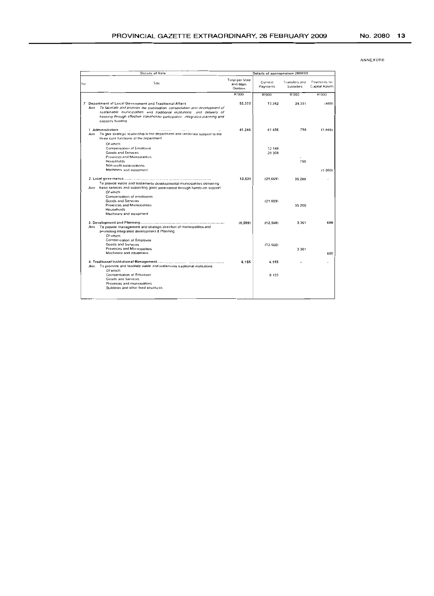|                         | Details of Vote                                                                                                                                                                                                                                                                                                          | Details of appropriation 2008/09       |                     |                            |                                |
|-------------------------|--------------------------------------------------------------------------------------------------------------------------------------------------------------------------------------------------------------------------------------------------------------------------------------------------------------------------|----------------------------------------|---------------------|----------------------------|--------------------------------|
| Ne                      | Title                                                                                                                                                                                                                                                                                                                    | Total per Vole<br>and Main<br>Division | Current<br>Payments | Transfers and<br>Subsidies | Payments tor<br>Capital Assets |
|                         |                                                                                                                                                                                                                                                                                                                          | R'000                                  | R'000               | R'000                      | R'000                          |
| $A$ <sub><i>u</i></sub> | 7 Department of Local Government and Traditional Affairs<br>To facilitate and promote the stabilisation: consolidation and development of<br>sustainable municipalities and traditional institutions and delivery of<br>housing through effective stakeholder participation integrated planning and<br>capacity building | 52.333                                 | 13.382              | 39.351                     | (400)                          |
| Aim                     | 1 Administration<br>$\cdot$ $\cdot$<br>.<br>To give strategic leadership to the department and corporate support to the<br>three core functions of the department                                                                                                                                                        | 41.246                                 | 41 456              | 790                        | (1,000)                        |
|                         | Of which<br>Compensation of Employee<br><b>Goods and Services</b><br>Provinces and Municipalities                                                                                                                                                                                                                        |                                        | 12 148<br>29 308    |                            |                                |
|                         | Households<br>Non-profit organisations                                                                                                                                                                                                                                                                                   |                                        |                     | 790                        |                                |
|                         | Machinery and equipment                                                                                                                                                                                                                                                                                                  |                                        |                     |                            | (1000)                         |
| Aım                     | To provide viable and sustainable developmental municipalities delivering<br>basic services and supporting good governance through hands-on support<br>Of which                                                                                                                                                          | 13,531                                 | (21.669)            | 35.200                     |                                |
|                         | Compensation of emoloyees<br>Goods and Services<br>Provinces and Municipalities<br>Households<br>Machinery and equipment                                                                                                                                                                                                 |                                        | (21669)             | 35 200                     |                                |
| Aim                     | To provide management and strategic direction of municipalities and<br>promoting Integrated development & Planning                                                                                                                                                                                                       | (6.599)                                | (12.560)            | 3.361                      | 600                            |
|                         | Of which<br>Compensation of Employee<br>Goods and Services<br>Provinces and Municipalities<br>Machinery and equipment                                                                                                                                                                                                    |                                        | (12.560)            | 3 3 6 1                    | 600                            |
| Aini                    | To promote and facilitate viable and sustainable traditional institutions                                                                                                                                                                                                                                                | 6.155                                  | 6.155               |                            |                                |
|                         | Of which<br>Compensation of Employee<br><b>Goods and Services</b>                                                                                                                                                                                                                                                        |                                        | 6 1 5 5             |                            |                                |
|                         | Provinces and municipalities<br>Buildings and other fixed structures                                                                                                                                                                                                                                                     |                                        |                     |                            |                                |
|                         |                                                                                                                                                                                                                                                                                                                          |                                        |                     |                            |                                |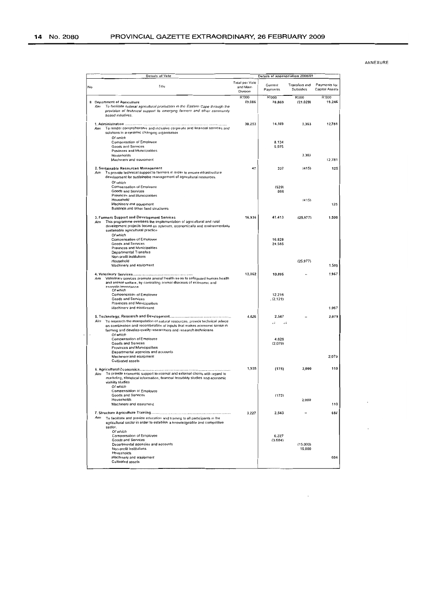| Details of appropriation 2008/09<br>Details of Vote |                                                                                                                                                                                                                                                 |                                        |                     |                                   |                                |
|-----------------------------------------------------|-------------------------------------------------------------------------------------------------------------------------------------------------------------------------------------------------------------------------------------------------|----------------------------------------|---------------------|-----------------------------------|--------------------------------|
| No                                                  | Title                                                                                                                                                                                                                                           | Total per Vole<br>and Main<br>Division | Current<br>Payments | <b>Transfers and</b><br>Subsidies | Payments for<br>Capital Assets |
| <b>B</b> Department of Agriculture<br>Ainı          | To facilitate optimal agricultural production in the Eastern Cape through the<br>provision of technical support to emerging farmers and other community<br>based initiatives.                                                                   | R'000<br>69,086                        | R'000<br>70.869     | R'000<br>(21.029)                 | <b>R'000</b><br>19,246         |
| Am                                                  | To render comprehensive and inclusive corporate and financial services and<br>solutions in a dynamic changing organisation<br>Of which                                                                                                          | 30,253                                 | 14.109              | 3.363                             | 12,781                         |
|                                                     | <b>Compensation of Employee</b><br><b>Goods and Services</b><br>Provinces and Municipalities                                                                                                                                                    |                                        | 8.134<br>5,975      |                                   |                                |
|                                                     | Households<br>Machinery and equipment                                                                                                                                                                                                           |                                        |                     | 3,363                             | 12.781                         |
| Aim                                                 | 2. Sustainable Resources Management<br>To provide technical support to farmers in order to ensure infrastructure<br>development for sustainable management of agricultural resources.<br>Of which                                               | 47                                     | 337                 | (415)                             | 125                            |
|                                                     | Compensation of Employee<br><b>Goods and Services</b><br>Provinces and Municipalities                                                                                                                                                           |                                        | (529)<br>866        |                                   |                                |
|                                                     | Household<br>Machinery and equipment<br>Buildings and other fixed structures                                                                                                                                                                    |                                        |                     | (415)                             | 125                            |
| Aim                                                 | 3. Farmers Support and Development Services<br>This programme oversees the implementation of agricultural and rural<br>development projects based on optimum, economically and environmentally<br>sustainable agricultural practice<br>Of which | 16,936                                 | 41,413              | (25, 977)                         | 1.500                          |
|                                                     | Compensation of Employee<br>Goods and Services<br>Provinces and Municipalities<br><b>Departmental Transfers</b><br>Non-profit institutions                                                                                                      |                                        | 16.828<br>24,585    |                                   |                                |
|                                                     | Household<br>Machinery and equipment                                                                                                                                                                                                            |                                        |                     | (25.977)                          | 1,500                          |
| Aim                                                 | Veterinary services promote animal health so as to safeguard human health<br>and animal welfare, by controlling animal diseases of economic and<br>zoonolic importance<br>Of which                                                              | 12,062                                 | 10.095              |                                   | 1,967                          |
|                                                     | Compensation of Employee<br>Goods and Services<br>Provinces and Municipalities                                                                                                                                                                  |                                        | 12.216<br>. (2.121) |                                   |                                |
|                                                     | Machinery and equipment                                                                                                                                                                                                                         | 4.626                                  | 2.547               |                                   | 1.967<br>2.079                 |
| Ainı                                                | To research the mampulation of natural resources, provide technical advice<br>on combination and recombination of inputs that makes economic sense in<br>farming and develop quality researchers and research technicians<br>Of which           |                                        |                     |                                   |                                |
|                                                     | Compensation of Employee<br>Goods and Services<br>Provinces and Municipalities<br>Departmental agencies and accounts                                                                                                                            |                                        | 4.626<br>(2.079)    |                                   |                                |
|                                                     | Machinery and equipment<br><b>Cultivated assets</b>                                                                                                                                                                                             |                                        |                     |                                   | 2.079                          |
| Aim                                                 | To provide economic support to internal and external clients with regard to<br>marketing, statistical information, financial feasibility studies and economic<br>viability studies<br>Of which<br>Compensation of Employee                      | 1,935                                  | (175)               | 2,000                             | 110                            |
|                                                     | Goods and Services<br>Households<br>Machinery and equipment                                                                                                                                                                                     |                                        | (175)               | 2,000                             | 110                            |
| Am                                                  | To facilitate and provide education and training to all participants in the<br>agricultural sector in order to establish a knowledgeable and competitive                                                                                        | 3.227                                  | 2,543               |                                   | 684                            |
| sector.                                             | Of which<br>Compensation of Employee<br>Goods and Services<br>Departmental agencies and accounts                                                                                                                                                |                                        | 6.227<br>(3,684)    | (15.000)                          |                                |
|                                                     | Non-profit Institutions<br>Households<br>Machinery and equipment<br>Cultivated assets                                                                                                                                                           |                                        |                     | 15,000                            | 684                            |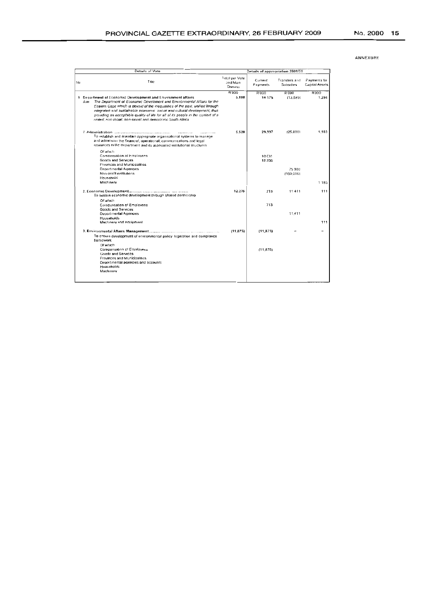|     | Details of Vote                                                                                                                                                                                                                                                                                                                                                                                                                                          | Details of appropriation 2008/09       |                     |                                   |                                       |
|-----|----------------------------------------------------------------------------------------------------------------------------------------------------------------------------------------------------------------------------------------------------------------------------------------------------------------------------------------------------------------------------------------------------------------------------------------------------------|----------------------------------------|---------------------|-----------------------------------|---------------------------------------|
| No  | Title                                                                                                                                                                                                                                                                                                                                                                                                                                                    | Total per Vote<br>and Main<br>Division | Current<br>Payments | Transfers and<br><b>Subsidies</b> | Payments for<br><b>Capital Assets</b> |
|     |                                                                                                                                                                                                                                                                                                                                                                                                                                                          | <b>R'000</b>                           | R'000               | R'000                             | R'ODO                                 |
| Aim | 9 Department of Economic Development and Environment affairs<br>The Department of Economic Develoment and Environmental Affairs for the<br>Eastern Gape which is devoid of the inequalities of the past, unified through<br>integrated and sustainable economic social and cultural development, thus<br>providing an acceptable quality of life for all of its people in the context of a<br>united, non-moial, non-sexist and democratic South Africa. | 5.880                                  | 18.175              | (13,589)                          | 1.294                                 |
|     | <br><br>To establish and maintain appropriate organisational systems to manage<br>and administer the financial, operational, communications and legal<br>resources in the department and its associated institutional structures.                                                                                                                                                                                                                        | 5.520                                  | 29.337              | (25,000)                          | 1.183                                 |
|     | Of which<br>Compensation of Employees<br><b>Goods and Services</b><br>Provinces and Municipalities                                                                                                                                                                                                                                                                                                                                                       |                                        | 10 631<br>18706     |                                   |                                       |
|     | <b>Departmental Agencies</b><br>Non-profit institutions                                                                                                                                                                                                                                                                                                                                                                                                  |                                        |                     | 75 000<br>(100.000)               |                                       |
|     | Housenoki<br>Machinery                                                                                                                                                                                                                                                                                                                                                                                                                                   |                                        |                     |                                   | 1 1 8 3                               |
|     | To sustain economic development through shared partnership                                                                                                                                                                                                                                                                                                                                                                                               | 12.235                                 | 713                 | 11411                             | 111                                   |
|     | Of which<br>Compensation of Employees<br><b>Goods and Services</b>                                                                                                                                                                                                                                                                                                                                                                                       |                                        | 713                 |                                   |                                       |
|     | <b>Departmental Agencies</b><br>Households                                                                                                                                                                                                                                                                                                                                                                                                               |                                        |                     | 11.413                            |                                       |
|     | Machinery and equipment                                                                                                                                                                                                                                                                                                                                                                                                                                  |                                        |                     |                                   | 111                                   |
|     | To ensure development of environmental policy, legislation and compliance<br>framework                                                                                                                                                                                                                                                                                                                                                                   | (11, 875)                              | (11, 875)           |                                   |                                       |
|     | Df which<br>Compansation of Employees<br><b>Goods and Services</b><br>Provinces and Municipalities<br>Departmental agencies and accounts<br><b>Households</b><br>Machinery                                                                                                                                                                                                                                                                               |                                        | (11.875)            |                                   |                                       |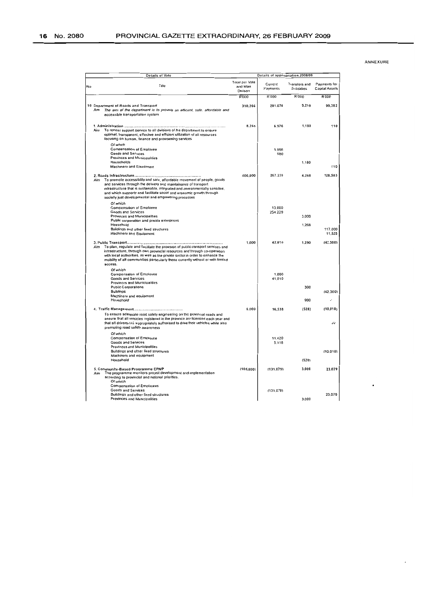|    | <b>Details of Vote</b>                                                                                                                                                                                                                                                                                                                                             | Details of appropriation 2008/09              |                     |                                   |                                |
|----|--------------------------------------------------------------------------------------------------------------------------------------------------------------------------------------------------------------------------------------------------------------------------------------------------------------------------------------------------------------------|-----------------------------------------------|---------------------|-----------------------------------|--------------------------------|
| No | Title                                                                                                                                                                                                                                                                                                                                                              | <b>Total per Vole</b><br>and Main<br>Division | Current<br>Payments | <b>Transfers and</b><br>Subsidies | Payments for<br>Capital Assets |
|    |                                                                                                                                                                                                                                                                                                                                                                    | <b>R'000</b>                                  | R'000               | R'000                             | R'000                          |
|    | 10 Department of Roads and Transport<br>The aim of the department is to provide an efficient, safe, affordable and<br>Aim<br>accessible transportation system                                                                                                                                                                                                      | 310,266                                       | 201.674             | 9.210                             | 99,382                         |
|    | To render support service to all divisions of the department to ensure<br>Aim<br>optimal, transparent, effective and efficient utilization of all resources<br>focusing on human, finance and provisioning services                                                                                                                                                | 8,266                                         | 6,976               | 1,180                             | 110                            |
|    | Of which<br>Compensation of Employee<br>Goods and Services                                                                                                                                                                                                                                                                                                         |                                               | 5,996<br>980        |                                   |                                |
|    | Provinces and Municipalities<br>Households<br>Machinery and Equipment                                                                                                                                                                                                                                                                                              |                                               |                     | 1,180                             | 110                            |
|    | To promote accessibility and safe, affordable movement of people, goods<br>Aim<br>and services through the delivery and maintainance of transport<br>infrastructure that is sustainable, integrated and environmentally sensitive,<br>and which supports and facilitate social and economic growth through<br>socially just developmental and empowering processes | 400,000                                       | 267.229             | 4,268                             | 128,503                        |
|    | Of which<br>Compensation of Employee<br>Goods and Services<br>Provinces and Municipalities<br>Public corporation and private enterprises                                                                                                                                                                                                                           |                                               | 13.000<br>254.229   | 3,000                             |                                |
|    | Household<br>Buildings and other fixed structures<br>Machinery and Equipment                                                                                                                                                                                                                                                                                       |                                               |                     | 1,268                             | 117,000<br>11.503              |
|    | To plan, regulate and facilitate the provision of public transport services and<br>Aim<br>infrastructure, through own provincial resources and through co-operation<br>with local authorities, as well as the private sector in order to enhance the<br>mobility of all communities particularly those currently without or with firmted<br>access.                | 1,000                                         | 42.010              | 1,290                             | (42,300)                       |
|    | Of which<br>Compensation of Employee<br>Goods and Services<br>Provinces and Municipalities                                                                                                                                                                                                                                                                         |                                               | 1,000<br>41,010     |                                   |                                |
|    | <b>Public Corporations</b><br><b>Buildings</b><br>Machinery and equipment                                                                                                                                                                                                                                                                                          |                                               |                     | 300                               | (42.300)                       |
|    | Household                                                                                                                                                                                                                                                                                                                                                          |                                               |                     | 990                               |                                |
|    | To ensure adequate road safety engineering on the provincial roads and<br>ensure that all vehicles registered in the province are licensed each year and<br>that all drivers, its appropriately authorised to drive their vehicles while also<br>promoting road safety awareness                                                                                   | 6,000                                         | 16,538              | (528)                             | (10, 010)<br>si.               |
|    | Of which<br>Compensation of Employee<br>Goods and Services<br>Provinces and Municipalities                                                                                                                                                                                                                                                                         |                                               | 11.420<br>5,118     |                                   |                                |
|    | Buildings and other fixed structures<br>Machinery and equipment<br>Household                                                                                                                                                                                                                                                                                       |                                               |                     | (528)                             | (10.010)                       |
|    | 5. Community-Based Programme EPWP<br>The programme monitors project development and implementation<br>Aim<br>according to provincial and national priorities.<br>Of which                                                                                                                                                                                          | (105, 000)                                    | (131.079)           | 3.000                             | 23.079                         |
|    | <b>Compensation of Employees</b><br>Goods and Services<br>Buildings and other fixed structures<br>Provinces and Municipalities                                                                                                                                                                                                                                     |                                               | (131, 079)          | 3,000                             | 23.079                         |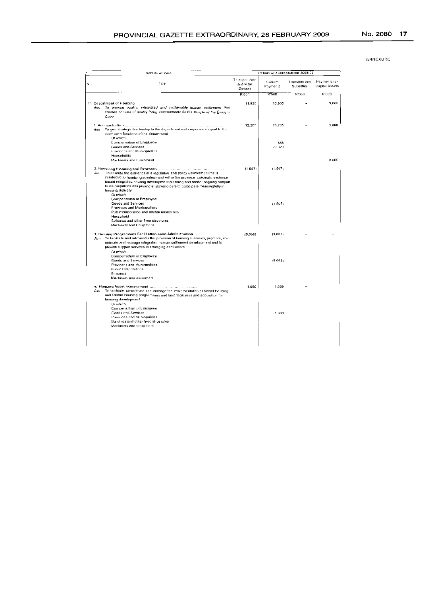| ANNEXURE |  |  |  |  |  |  |  |
|----------|--|--|--|--|--|--|--|
|----------|--|--|--|--|--|--|--|

| Details of Vote                                                                                                                                                                                                                                                                                                          | Details of appropriation 2008/09              |                     |                            |                                       |  |
|--------------------------------------------------------------------------------------------------------------------------------------------------------------------------------------------------------------------------------------------------------------------------------------------------------------------------|-----------------------------------------------|---------------------|----------------------------|---------------------------------------|--|
| Title<br>No.                                                                                                                                                                                                                                                                                                             | Total par Vote<br>and Main<br><b>Division</b> | Current<br>Payments | Transfers and<br>Supsidies | Payments for<br><b>Capital Assets</b> |  |
|                                                                                                                                                                                                                                                                                                                          | R'000                                         | 8'000               | 8.000                      | <b>R'000</b>                          |  |
| 11 Department of Housing                                                                                                                                                                                                                                                                                                 | 22.630                                        | 13.630              |                            | 9.000                                 |  |
| To provide quality, integrated and sustainable human selflement that<br>Autz<br>creates choices of quality living environments for the people of the Eastern<br>Cape                                                                                                                                                     |                                               |                     |                            |                                       |  |
| Tu give strategic leadership to the department and corporate support to the<br>Attre                                                                                                                                                                                                                                     | 32.205                                        | 23.205              |                            | 9.000                                 |  |
| three core functions of the department<br>Of which                                                                                                                                                                                                                                                                       |                                               |                     |                            |                                       |  |
| Compensation of Employee                                                                                                                                                                                                                                                                                                 |                                               | 885                 |                            |                                       |  |
| Goods and Services                                                                                                                                                                                                                                                                                                       |                                               | 22 320              |                            |                                       |  |
| Provinces and Municipalities                                                                                                                                                                                                                                                                                             |                                               |                     |                            |                                       |  |
| Households                                                                                                                                                                                                                                                                                                               |                                               |                     |                            |                                       |  |
| Machinery and Equipment                                                                                                                                                                                                                                                                                                  |                                               |                     |                            | 9000                                  |  |
|                                                                                                                                                                                                                                                                                                                          |                                               |                     |                            |                                       |  |
| Totacilitate the existence of a legislative and policy environment the is<br>Am<br>conducive to houdsing development within the province, cordinate evidence<br>based integrated housing development planning and render ongoing support<br>to municipalities and plovincial stakeholders to participate meaningfully in | (1.507)                                       | (1.507)             |                            |                                       |  |
| housing detivery<br>Of which<br>Compensation of Employee                                                                                                                                                                                                                                                                 |                                               |                     |                            |                                       |  |
| Goods and Services<br><b>Provinces and Municipalities</b><br>Public corporation and private enterprises<br>Household                                                                                                                                                                                                     |                                               | (1507)              |                            |                                       |  |
| Buildings and other fixed structures<br>Machinery and Equipment                                                                                                                                                                                                                                                          |                                               |                     |                            |                                       |  |
| To facilitate and administer the provision of housing subsidies, promote, no-<br>Ann<br>ordinate and manage integrated human settlement development and to<br>provide support services to emerging contractors<br>Of which                                                                                               | (9.068)                                       | (9.068)             |                            |                                       |  |
| Compensation of Employee<br>Goods and Services<br>Provinces and Municipalities                                                                                                                                                                                                                                           |                                               | (9068)              |                            |                                       |  |
| Public Corporations<br><b>Buildings</b><br>Machinery and equipment                                                                                                                                                                                                                                                       |                                               |                     |                            |                                       |  |
| Aim<br>To facilitate, co-ordinate and manage the implementation of Social Housing<br>and Rental Housing programmes and land facilitation and acquisition for<br>housing development                                                                                                                                      | 1.000                                         | 1.000               |                            |                                       |  |
| Of which<br>Compensation of Employee<br>Goods and Services<br>Provinces and Municipalities<br>Buildings and other fixed structures                                                                                                                                                                                       |                                               | 1000                |                            |                                       |  |
| Machinery and equipment                                                                                                                                                                                                                                                                                                  |                                               |                     |                            |                                       |  |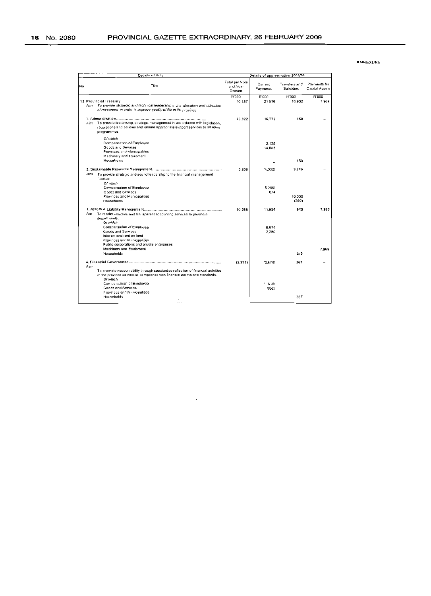|    | Details of Vote |                                                                                                                                                                                 |                                        | Details of appropriation 2008/09 |                                          |                                |  |  |
|----|-----------------|---------------------------------------------------------------------------------------------------------------------------------------------------------------------------------|----------------------------------------|----------------------------------|------------------------------------------|--------------------------------|--|--|
| No |                 | Title                                                                                                                                                                           | Total per Vole<br>and Main<br>Division | Current<br>Payments              | <b>Transfers and</b><br><b>Subsidies</b> | Payments for<br>Capital Assets |  |  |
|    | Aurr            | 12 Provincial Treasury<br>To provide strategic and technical leadership in the allocation and utilization<br>of resources, in order to improve quality of file in the province  | R'000<br>40.387                        | R'000<br>21516                   | <b>R'000</b><br>10.902                   | <b>R'000</b><br>7969           |  |  |
|    |                 | Aim. To provide teadership, strategic management in accordance with legislation,<br>regulations and policies and ensure appropriate support services to all other<br>programmes | 16.922                                 | 16.772                           | 150                                      |                                |  |  |
|    |                 | Of which<br>Compensation of Employee<br>Goods and Services<br>Provinces and Municipalities<br>Machinery and equipment<br>Hauseholds                                             |                                        | 2.129<br>14.543                  | 150                                      |                                |  |  |
|    |                 | Am To provide strategic and sound leadership to the financial management<br>function.                                                                                           | 5.208                                  | (4.532)                          | 9,740                                    |                                |  |  |
|    |                 | Of which<br>Compensation of Employee<br>Goods and Services<br>Provinces and Municipalities<br>Households                                                                        |                                        | (5.206)<br>674                   | 10.000<br>(260)                          |                                |  |  |
|    | Aım             | To render effective and transparent accounting services to provincial<br>departments.                                                                                           | 20.568                                 | 11.954                           | 645                                      | 7.969                          |  |  |
|    |                 | Of which<br>Compensation of Employee<br>Goods and Services<br>Interest and rent on land<br>Provinces and Municipalities<br>Public corporations and private enterprises          |                                        | 9.674<br>2,280                   |                                          |                                |  |  |
|    |                 | Machinery and Equipment<br>Households                                                                                                                                           |                                        |                                  | 645                                      | 7.969                          |  |  |
|    | Aim             | To promote accountability through substantive reflection of financial activities<br>of the province as well as compliance with financial norms and standards.                   | (2.311)                                | (2.678)                          | 367                                      |                                |  |  |
|    |                 | Of which<br>Compensation of Employee<br>Goods and Services<br>Provinces and Municipalities<br>Households                                                                        |                                        | (1.816)<br>(B62)                 | 367                                      |                                |  |  |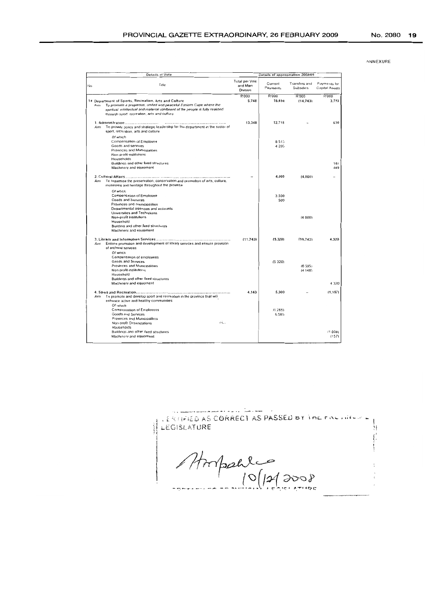| ANNEXURE |
|----------|
|          |

| Details of Vote                                                                                                                                                                                                                                                                  | Details of appropriation 2008/09       |                     |                                          |                                |  |
|----------------------------------------------------------------------------------------------------------------------------------------------------------------------------------------------------------------------------------------------------------------------------------|----------------------------------------|---------------------|------------------------------------------|--------------------------------|--|
| Title<br>No.                                                                                                                                                                                                                                                                     | Total per Vote<br>and Main<br>Division | Current<br>Payments | <b>Transfers and</b><br><b>Subsidies</b> | Payments lor<br>Capital Assets |  |
| 14 Department of Sports, Recreation, Arts and Culture<br>To promote a properous, united and peaceful Eastern Cape where the<br>$A$ <sub>Im</sub><br>spiritual intellectual and material upliftment of the people is fully realized<br>through sport recreation, arts and culture | R'000<br>5,748                         | R'000<br>16,698     | R'000<br>(14,743)                        | <b>R'000</b><br>3,793          |  |
| 1. Administration<br>To provide policy and strategic leadership for the department in the sector of<br>Am<br>sport, recreation, arts and culture                                                                                                                                 | 13.348                                 | 12.718              |                                          | 630                            |  |
| Of which<br>Compensation of Employee<br>Goods and services<br>Provinces and Municipalities<br>Non-profit institutions<br>Households<br>Buildings and other fixed structures                                                                                                      |                                        | 8.513<br>4 205      |                                          | 181                            |  |
| Machinery and equioment                                                                                                                                                                                                                                                          |                                        |                     |                                          | 449                            |  |
| To maximise the preservation, conservation and promotion of arts, culture,<br>Am<br>museums and hentage throughout the province                                                                                                                                                  |                                        | 4.000               | (4.000)                                  |                                |  |
| Of which<br>Compensation of Employee<br>Goods and Services<br>Provinces and municipalities<br>Departmental agencies and accounts<br>Universities and Technikons                                                                                                                  |                                        | 3.500<br>500        |                                          |                                |  |
| Non-profit institutions<br>Household<br>Building and other fixed structures<br>Machinery and equipment                                                                                                                                                                           |                                        |                     | (4 DOD)                                  |                                |  |
| Aim Ensure promotion and development of library services and ensure provision<br>of archival services<br>Of which                                                                                                                                                                | (11.743)                               | (5, 320)            | 110.743                                  | 4,320                          |  |
| Compensation of employees<br>Goods and Services<br>Provinces and Municipalities<br>Non profit institutions<br>Household                                                                                                                                                          |                                        | (5320)              | (6595)<br>(414B)                         |                                |  |
| Buildings and other fixed structures<br>Machinery and equipment                                                                                                                                                                                                                  |                                        |                     |                                          |                                |  |
|                                                                                                                                                                                                                                                                                  | 4.143                                  | 5,300               |                                          | 4 3 2 0<br>(1.157)             |  |
| To promote and develop sport and recreation in the province that will<br>Am<br>enhance active and healthy communities<br>Of which                                                                                                                                                |                                        |                     |                                          |                                |  |
| Compensation of Employees<br>Goods and Services<br>Provinces and Municipalities<br>44.<br>Non-profit Organizations                                                                                                                                                               |                                        | (1.285)<br>6,585    |                                          |                                |  |
| Households<br>Buildings and other fixed structures<br>Machinery and equipment                                                                                                                                                                                                    |                                        |                     |                                          | (1,000)<br>(157)               |  |

 $\label{eq:3} \begin{minipage}{0.9\textwidth} \begin{minipage}{0.9\textwidth} \begin{itemize} \begin{itemize} \begin{itemize} \begin{itemize} \end{itemize} \end{itemize} \end{itemize} \end{minipage} \begin{itemize} \begin{itemize} \begin{itemize} \begin{itemize} \end{itemize} \end{itemize} \end{itemize} \end{itemize} \end{itemize} \end{minipage} \begin{minipage}{0.9\textwidth} \begin{itemize} \begin{itemize} \end{itemize} \end{itemize} \end{itemize} \end{minipage} \begin{minipage}{0.9\textwidth} \begin{itemize} \begin{item$ LERTIFIED AS CORRECT AS PASSED BY THE FINE HIMPLE  $\overline{1}$ LEGISLATURE  $\begin{array}{l} \displaystyle \frac{1}{2} \left( \frac{1}{2} \right) \left( \frac{1}{2} \right) \left( \frac{1}{2} \right) \left( \frac{1}{2} \right) \left( \frac{1}{2} \right) \left( \frac{1}{2} \right) \left( \frac{1}{2} \right) \left( \frac{1}{2} \right) \left( \frac{1}{2} \right) \left( \frac{1}{2} \right) \left( \frac{1}{2} \right) \left( \frac{1}{2} \right) \left( \frac{1}{2} \right) \left( \frac{1}{2} \right) \left( \frac{1}{2} \right) \left( \frac{1}{$ ۱.  $\sum_{i=1}^{k-1}$ Storpalles